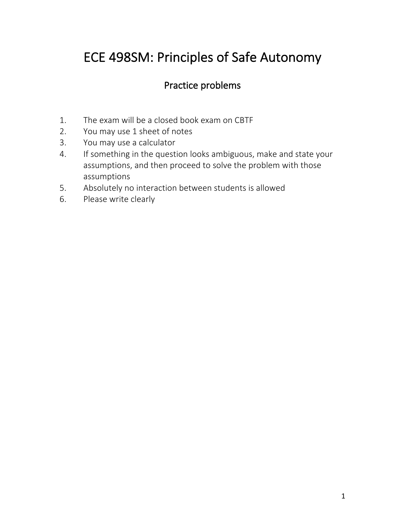# ECE 498SM: Principles of Safe Autonomy

## Practice problems

- 1. The exam will be a closed book exam on CBTF
- 2. You may use 1 sheet of notes
- 3. You may use a calculator
- 4. If something in the question looks ambiguous, make and state your assumptions, and then proceed to solve the problem with those assumptions
- 5. Absolutely no interaction between students is allowed
- 6. Please write clearly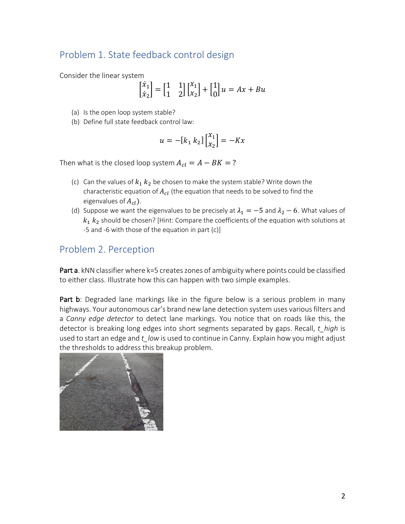## Problem 1. State feedback control design

Consider the linear system

$$
\begin{bmatrix} \dot{x}_1 \\ \dot{x}_2 \end{bmatrix} = \begin{bmatrix} 1 & 1 \\ 1 & 2 \end{bmatrix} \begin{bmatrix} x_1 \\ x_2 \end{bmatrix} + \begin{bmatrix} 1 \\ 0 \end{bmatrix} u = Ax + Bu
$$

- (a) Is the open loop system stable?
- (b) Define full state feedback control law:

$$
u = -[k_1 \, k_2] \begin{bmatrix} x_1 \\ x_2 \end{bmatrix} = -Kx
$$

Then what is the closed loop system  $A_{cl} = A - BK = ?$ 

- (c) Can the values of  $k_1 k_2$  be chosen to make the system stable? Write down the characteristic equation of  $A_{cl}$  (the equation that needs to be solved to find the eigenvalues of  $A_{cl}$ ).
- (d) Suppose we want the eigenvalues to be precisely at  $\lambda_1 = -5$  and  $\lambda_2 6$ . What values of  $k_1$   $k_2$  should be chosen? [Hint: Compare the coefficients of the equation with solutions at -5 and -6 with those of the equation in part (c)]

#### Problem 2. Perception

Part a. kNN classifier where k=5 creates zones of ambiguity where points could be classified to either class. Illustrate how this can happen with two simple examples.

Part b: Degraded lane markings like in the figure below is a serious problem in many highways. Your autonomous car's brand new lane detection system uses various filters and a *Canny edge detector* to detect lane markings. You notice that on roads like this, the detector is breaking long edges into short segments separated by gaps. Recall, *t\_high* is used to start an edge and *t\_low* is used to continue in Canny. Explain how you might adjust the thresholds to address this breakup problem.

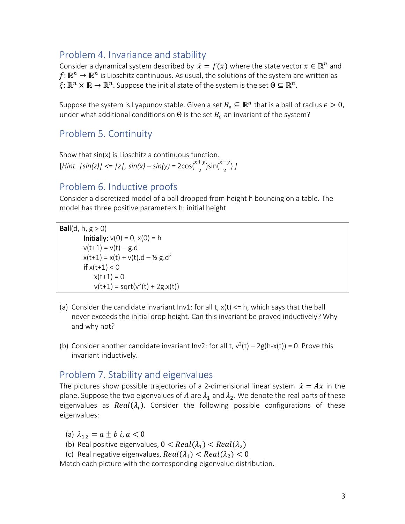#### Problem 4. Invariance and stability

Consider a dynamical system described by  $\dot{x} = f(x)$  where the state vector  $x \in \mathbb{R}^n$  and  $f: \mathbb{R}^n \to \mathbb{R}^n$  is Lipschitz continuous. As usual, the solutions of the system are written as  $\xi: \mathbb{R}^n \times \mathbb{R} \to \mathbb{R}^n$ . Suppose the initial state of the system is the set  $\Theta \subseteq \mathbb{R}^n$ .

Suppose the system is Lyapunov stable. Given a set  $B_{\epsilon} \subseteq \mathbb{R}^n$  that is a ball of radius  $\epsilon > 0$ , under what additional conditions on  $\Theta$  is the set  $B_{\epsilon}$  an invariant of the system?

### Problem 5. Continuity

Show that sin(x) is Lipschitz a continuous function.  $[Hint. |sin(z)| \le |z|, sin(x) - sin(y) = 2cos(\frac{x+y}{2})sin(\frac{x-y}{2})]$ 

#### Problem 6. Inductive proofs

Consider a discretized model of a ball dropped from height h bouncing on a table. The model has three positive parameters h: initial height

Ball(d, h,  $g > 0$ ) **Initially:**  $v(0) = 0$ ,  $x(0) = h$  $v(t+1) = v(t) - g.d$  $x(t+1) = x(t) + v(t) \cdot d - \frac{1}{2} g \cdot d^2$  $if x(t+1) < 0$  $x(t+1) = 0$  $v(t+1) = sqrt(v^2(t) + 2g.x(t))$ 

- (a) Consider the candidate invariant  $Inv1$ : for all t,  $x(t) \leq h$ , which says that the ball never exceeds the initial drop height. Can this invariant be proved inductively? Why and why not?
- (b) Consider another candidate invariant Inv2: for all t,  $v^2(t) 2g(h-x(t)) = 0$ . Prove this invariant inductively.

#### Problem 7. Stability and eigenvalues

The pictures show possible trajectories of a 2-dimensional linear system  $\dot{x} = Ax$  in the plane. Suppose the two eigenvalues of A are  $\lambda_1$  and  $\lambda_2$ . We denote the real parts of these eigenvalues as  $Real(\lambda_i)$ . Consider the following possible configurations of these eigenvalues:

(a)  $\lambda_{12} = a \pm b \, i, a < 0$ 

- (b) Real positive eigenvalues,  $0 < Real(\lambda_1) < Real(\lambda_2)$
- (c) Real negative eigenvalues,  $Real(\lambda_1) < Real(\lambda_2) < 0$

Match each picture with the corresponding eigenvalue distribution.